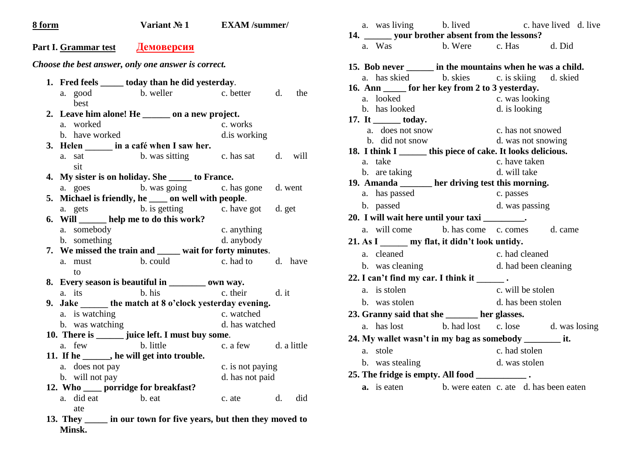**8 form Variant № 1 EXAM /summer/**

|                                                     |                                                       |                                            |                   | Part I. Grammar test Демоверсия                          |                |                                                                                               |  |        |  |  |  |  |
|-----------------------------------------------------|-------------------------------------------------------|--------------------------------------------|-------------------|----------------------------------------------------------|----------------|-----------------------------------------------------------------------------------------------|--|--------|--|--|--|--|
| Choose the best answer, only one answer is correct. |                                                       |                                            |                   |                                                          |                |                                                                                               |  |        |  |  |  |  |
|                                                     |                                                       |                                            |                   | 1. Fred feels _____ today than he did yesterday.         |                |                                                                                               |  |        |  |  |  |  |
|                                                     |                                                       | best                                       |                   |                                                          |                | a. good b. weller c. better                                                                   |  | d. the |  |  |  |  |
|                                                     | 2. Leave him alone! He _______ on a new project.      |                                            |                   |                                                          |                |                                                                                               |  |        |  |  |  |  |
|                                                     |                                                       | a. worked                                  |                   | c. works                                                 |                |                                                                                               |  |        |  |  |  |  |
|                                                     |                                                       | b. have worked                             |                   |                                                          |                | d.is working                                                                                  |  |        |  |  |  |  |
|                                                     |                                                       | 3. Helen _______ in a café when I saw her. |                   |                                                          |                |                                                                                               |  |        |  |  |  |  |
|                                                     |                                                       |                                            |                   |                                                          |                | a. sat b. was sitting c. has sat d. will                                                      |  |        |  |  |  |  |
|                                                     |                                                       | sit                                        |                   |                                                          |                |                                                                                               |  |        |  |  |  |  |
|                                                     | 4. My sister is on holiday. She ______ to France.     |                                            |                   |                                                          |                |                                                                                               |  |        |  |  |  |  |
|                                                     |                                                       |                                            |                   |                                                          |                | a. goes b. was going c. has gone d. went                                                      |  |        |  |  |  |  |
|                                                     | 5. Michael is friendly, he _____ on well with people. |                                            |                   |                                                          |                |                                                                                               |  |        |  |  |  |  |
|                                                     |                                                       |                                            |                   |                                                          |                | a. gets b. is getting c. have got d. get 6. Will <u>example</u> help me to do this work?      |  |        |  |  |  |  |
|                                                     |                                                       |                                            |                   |                                                          |                |                                                                                               |  |        |  |  |  |  |
|                                                     |                                                       | a. somebody                                |                   |                                                          |                | c. anything                                                                                   |  |        |  |  |  |  |
|                                                     |                                                       | b. something                               |                   |                                                          |                | d. anybody                                                                                    |  |        |  |  |  |  |
|                                                     |                                                       |                                            |                   | 7. We missed the train and _____ wait for forty minutes. |                |                                                                                               |  |        |  |  |  |  |
|                                                     |                                                       |                                            |                   |                                                          |                | a. must b. could c. had to d. have                                                            |  |        |  |  |  |  |
|                                                     |                                                       | to                                         |                   |                                                          |                |                                                                                               |  |        |  |  |  |  |
|                                                     | 8. Every season is beautiful in __________ own way.   |                                            |                   |                                                          |                |                                                                                               |  |        |  |  |  |  |
|                                                     |                                                       |                                            |                   |                                                          |                | a. its b. his c. their<br>9. Jake the match at 8 o'clock yesterday evening.<br>c. their d. it |  |        |  |  |  |  |
|                                                     |                                                       |                                            |                   |                                                          |                |                                                                                               |  |        |  |  |  |  |
|                                                     |                                                       | a. is watching                             |                   |                                                          |                | c. watched                                                                                    |  |        |  |  |  |  |
|                                                     |                                                       | b. was watching                            |                   |                                                          | d. has watched |                                                                                               |  |        |  |  |  |  |
|                                                     |                                                       |                                            |                   | 10. There is _______ juice left. I must buy some.        |                |                                                                                               |  |        |  |  |  |  |
|                                                     |                                                       | a. few                                     |                   | b. little                                                |                | c. a few d. a little                                                                          |  |        |  |  |  |  |
|                                                     |                                                       |                                            |                   | 11. If he _____, he will get into trouble.               |                |                                                                                               |  |        |  |  |  |  |
|                                                     |                                                       | a. does not pay                            |                   |                                                          |                | c. is not paying                                                                              |  |        |  |  |  |  |
|                                                     | b. will not pay                                       |                                            |                   |                                                          |                | d. has not paid                                                                               |  |        |  |  |  |  |
|                                                     |                                                       |                                            |                   | 12. Who _____ porridge for breakfast?                    |                |                                                                                               |  |        |  |  |  |  |
|                                                     |                                                       |                                            | a. did eat b. eat |                                                          |                | c. ate d.                                                                                     |  | did    |  |  |  |  |
|                                                     |                                                       | ate                                        |                   |                                                          |                |                                                                                               |  |        |  |  |  |  |
|                                                     |                                                       |                                            |                   |                                                          |                | 13. They ______ in our town for five years, but then they moved to                            |  |        |  |  |  |  |
|                                                     | Minsk.                                                |                                            |                   |                                                          |                |                                                                                               |  |        |  |  |  |  |

|                                                              | a. was living b. lived c. have lived d. live                                   |                       |                      |  |  |  |  |  |  |  |  |  |
|--------------------------------------------------------------|--------------------------------------------------------------------------------|-----------------------|----------------------|--|--|--|--|--|--|--|--|--|
|                                                              | 14. _______ your brother absent from the lessons?<br>a. Was                    | b. Were c. Has d. Did |                      |  |  |  |  |  |  |  |  |  |
|                                                              | 15. Bob never ______ in the mountains when he was a child.                     |                       |                      |  |  |  |  |  |  |  |  |  |
|                                                              | a. has skied b. skies c. is skiing d. skied                                    |                       |                      |  |  |  |  |  |  |  |  |  |
| 16. Ann _____ for her key from 2 to 3 yesterday.             |                                                                                |                       |                      |  |  |  |  |  |  |  |  |  |
|                                                              | a. looked                                                                      |                       | c. was looking       |  |  |  |  |  |  |  |  |  |
|                                                              | b. has looked                                                                  |                       | d. is looking        |  |  |  |  |  |  |  |  |  |
| 17. It _______ today.                                        |                                                                                |                       |                      |  |  |  |  |  |  |  |  |  |
|                                                              | a. does not snow                                                               |                       | c. has not snowed    |  |  |  |  |  |  |  |  |  |
|                                                              | b. did not snow                                                                | d. was not snowing    |                      |  |  |  |  |  |  |  |  |  |
| 18. I think I ______ this piece of cake. It looks delicious. |                                                                                |                       |                      |  |  |  |  |  |  |  |  |  |
|                                                              | a. take                                                                        |                       | c. have taken        |  |  |  |  |  |  |  |  |  |
|                                                              | b. are taking                                                                  |                       | d. will take         |  |  |  |  |  |  |  |  |  |
| 19. Amanda ______ her driving test this morning.             |                                                                                |                       |                      |  |  |  |  |  |  |  |  |  |
|                                                              | a. has passed                                                                  |                       | c. passes            |  |  |  |  |  |  |  |  |  |
|                                                              | b. passed                                                                      |                       | d. was passing       |  |  |  |  |  |  |  |  |  |
| 20. I will wait here until your taxi ________.               |                                                                                |                       |                      |  |  |  |  |  |  |  |  |  |
|                                                              | a. will come b. has come c. comes d. came                                      |                       |                      |  |  |  |  |  |  |  |  |  |
|                                                              | 21. As I _______ my flat, it didn't look untidy.                               |                       |                      |  |  |  |  |  |  |  |  |  |
|                                                              | a. cleaned                                                                     |                       | c. had cleaned       |  |  |  |  |  |  |  |  |  |
|                                                              | b. was cleaning                                                                |                       | d. had been cleaning |  |  |  |  |  |  |  |  |  |
|                                                              | 22. I can't find my car. I think it ______.                                    |                       |                      |  |  |  |  |  |  |  |  |  |
|                                                              | a. is stolen                                                                   |                       | c. will be stolen    |  |  |  |  |  |  |  |  |  |
|                                                              | b. was stolen                                                                  |                       | d. has been stolen   |  |  |  |  |  |  |  |  |  |
|                                                              |                                                                                |                       |                      |  |  |  |  |  |  |  |  |  |
|                                                              | 23. Granny said that she ______ her glasses.                                   |                       |                      |  |  |  |  |  |  |  |  |  |
|                                                              | a. has lost b. had lost c. lose d. was losing                                  |                       |                      |  |  |  |  |  |  |  |  |  |
| 24. My wallet wasn't in my bag as somebody ___________ it.   |                                                                                |                       |                      |  |  |  |  |  |  |  |  |  |
|                                                              | a. stole                                                                       |                       | c. had stolen        |  |  |  |  |  |  |  |  |  |
|                                                              | b. was stealing                                                                |                       | d. was stolen        |  |  |  |  |  |  |  |  |  |
| 25. The fridge is empty. All food __________.                |                                                                                |                       |                      |  |  |  |  |  |  |  |  |  |
|                                                              | <b>a.</b> is eaten <b>b.</b> were eaten <b>c.</b> ate <b>d.</b> has been eaten |                       |                      |  |  |  |  |  |  |  |  |  |
|                                                              |                                                                                |                       |                      |  |  |  |  |  |  |  |  |  |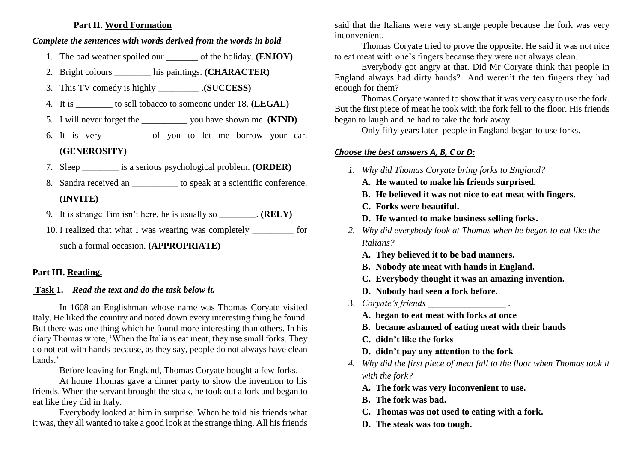#### **Part II. Word Formation**

#### *Complete the sentences with words derived from the words in bold*

- 1. The bad weather spoiled our of the holiday. **(ENJOY)**
- 2. Bright colours his paintings. **(CHARACTER)**
- 3. This TV comedy is highly \_\_\_\_\_\_\_\_\_ .**(SUCCESS)**
- 4. It is to sell tobacco to someone under 18. **(LEGAL)**
- 5. I will never forget the vou have shown me. **(KIND)**
- 6. It is very \_\_\_\_\_\_\_\_ of you to let me borrow your car. **(GENEROSITY)**
- 7. Sleep \_\_\_\_\_\_\_\_ is a serious psychological problem. **(ORDER)**
- 8. Sandra received an to speak at a scientific conference. **(INVITE)**
- 9. It is strange Tim isn't here, he is usually so \_\_\_\_\_\_\_\_. **(RELY)**
- 10. I realized that what I was wearing was completely \_\_\_\_\_\_\_\_\_ for

such a formal occasion. **(APPROPRIATE)**

### **Part III. Reading.**

### **Task 1.** *Read the text and do the task below it.*

In 1608 an Englishman whose name was Thomas Coryate visited Italy. He liked the country and noted down every interesting thing he found. But there was one thing which he found more interesting than others. In his diary Thomas wrote, 'When the Italians eat meat, they use small forks. They do not eat with hands because, as they say, people do not always have clean hands.'

Before leaving for England, Thomas Coryate bought a few forks.

At home Thomas gave a dinner party to show the invention to his friends. When the servant brought the steak, he took out a fork and began to eat like they did in Italy.

Everybody looked at him in surprise. When he told his friends what it was, they all wanted to take a good look at the strange thing. All his friends said that the Italians were very strange people because the fork was very inconvenient.

Thomas Coryate tried to prove the opposite. He said it was not nice to eat meat with one's fingers because they were not always clean.

Everybody got angry at that. Did Mr Coryate think that people in England always had dirty hands? And weren't the ten fingers they had enough for them?

Thomas Coryate wanted to show that it was very easy to use the fork. But the first piece of meat he took with the fork fell to the floor. His friends began to laugh and he had to take the fork away.

Only fifty years later people in England began to use forks.

### *Choose the best answers A, B, C or D:*

- *1. Why did Thomas Coryate bring forks to England?*
	- **A. He wanted to make his friends surprised.**
	- **B. He believed it was not nice to eat meat with fingers.**
	- **C. Forks were beautiful.**
	- **D. He wanted to make business selling forks.**
- *2. Why did everybody look at Thomas when he began to eat like the Italians?*
	- **A. They believed it to be bad manners.**
	- **B. Nobody ate meat with hands in England.**
	- **C. Everybody thought it was an amazing invention.**
	- **D. Nobody had seen a fork before.**

3. *Coryate's friends* ...

- **A. began to eat meat with forks at once**
- **B. became ashamed of eating meat with their hands**
- **C. didn't like the forks**
- **D. didn't pay any attention to the fork**
- *4. Why did the first piece of meat fall to the floor when Thomas took it with the fork?*
	- **A. The fork was very inconvenient to use.**
	- **B. The fork was bad.**
	- **C. Thomas was not used to eating with a fork.**
	- **D. The steak was too tough.**